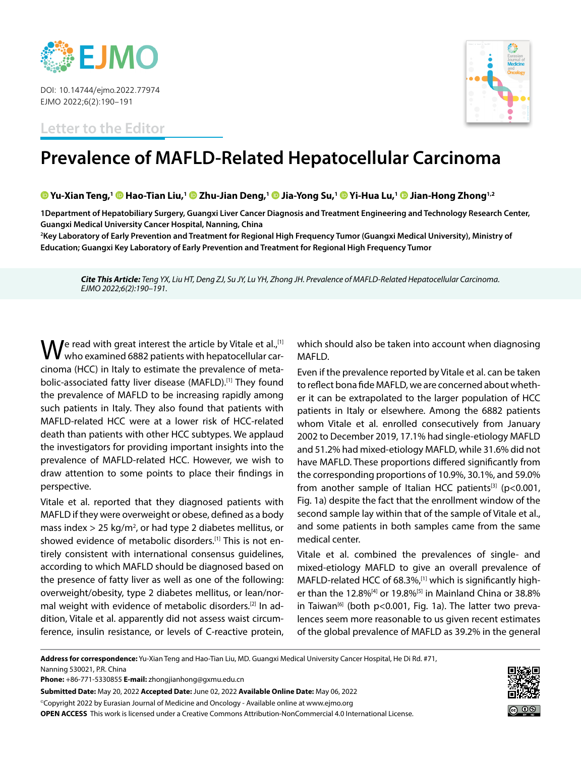

DOI: 10.14744/ejmo.2022.77974 EJMO 2022;6(2):190–191

**Letter to the Editor**



## **Prevalence of MAFLD-Related Hepatocellular Carcinoma**

## **[Y](https://orcid.org/0000-0003-1506-5475)u-Xian Teng,1 [H](http://v)ao-Tian Liu,[1 Z](https://orcid.org/0000-0002-7935-6311)hu-Jian Deng,1Jia-Yong Su,[1 Y](https://orcid.org/0000-0002-2251-6601)i-Hua Lu,1Jian-Hong Zhong1,2**

**1Department of Hepatobiliary Surgery, Guangxi Liver Cancer Diagnosis and Treatment Engineering and Technology Research Center, Guangxi Medical University Cancer Hospital, Nanning, China**

**2 Key Laboratory of Early Prevention and Treatment for Regional High Frequency Tumor (Guangxi Medical University), Ministry of Education; Guangxi Key Laboratory of Early Prevention and Treatment for Regional High Frequency Tumor**

*Cite This Article: Teng YX, Liu HT, Deng ZJ, Su JY, Lu YH, Zhong JH. Prevalence of MAFLD-Related Hepatocellular Carcinoma. EJMO 2022;6(2):190–191.*

 $\mathbf W$ e read with great interest the article by Vitale et al.,<sup>[1]</sup><br>Wwho examined 6882 patients with hepatocellular carcinoma (HCC) in Italy to estimate the prevalence of metabolic-associated fatty liver disease (MAFLD).[1] They found the prevalence of MAFLD to be increasing rapidly among such patients in Italy. They also found that patients with MAFLD-related HCC were at a lower risk of HCC-related death than patients with other HCC subtypes. We applaud the investigators for providing important insights into the prevalence of MAFLD-related HCC. However, we wish to draw attention to some points to place their findings in perspective.

Vitale et al. reported that they diagnosed patients with MAFLD if they were overweight or obese, defined as a body mass index  $>$  25 kg/m<sup>2</sup>, or had type 2 diabetes mellitus, or showed evidence of metabolic disorders.[1] This is not entirely consistent with international consensus guidelines, according to which MAFLD should be diagnosed based on the presence of fatty liver as well as one of the following: overweight/obesity, type 2 diabetes mellitus, or lean/normal weight with evidence of metabolic disorders.[2] In addition, Vitale et al. apparently did not assess waist circumference, insulin resistance, or levels of C-reactive protein, which should also be taken into account when diagnosing MAFLD.

Even if the prevalence reported by Vitale et al. can be taken to reflect bona fide MAFLD, we are concerned about whether it can be extrapolated to the larger population of HCC patients in Italy or elsewhere. Among the 6882 patients whom Vitale et al. enrolled consecutively from January 2002 to December 2019, 17.1% had single-etiology MAFLD and 51.2% had mixed-etiology MAFLD, while 31.6% did not have MAFLD. These proportions differed significantly from the corresponding proportions of 10.9%, 30.1%, and 59.0% from another sample of Italian HCC patients<sup>[3]</sup> (p<0.001, Fig. 1a) despite the fact that the enrollment window of the second sample lay within that of the sample of Vitale et al., and some patients in both samples came from the same medical center.

Vitale et al. combined the prevalences of single- and mixed-etiology MAFLD to give an overall prevalence of MAFLD-related HCC of 68.3%,<sup>[1]</sup> which is significantly higher than the 12.8%<sup>[4]</sup> or 19.8%<sup>[5]</sup> in Mainland China or 38.8% in Taiwan<sup>[6]</sup> (both p<0.001, Fig. 1a). The latter two prevalences seem more reasonable to us given recent estimates of the global prevalence of MAFLD as 39.2% in the general

**Address for correspondence:** Yu-Xian Teng and Hao-Tian Liu, MD. Guangxi Medical University Cancer Hospital, He Di Rd. #71, Nanning 530021, P.R. China

**Phone:** +86-771-5330855 **E-mail:** zhongjianhong@gxmu.edu.cn

**Submitted Date:** May 20, 2022 **Accepted Date:** June 02, 2022 **Available Online Date:** May 06, 2022 ©Copyright 2022 by Eurasian Journal of Medicine and Oncology - Available online at www.ejmo.org

**OPEN ACCESS** This work is licensed under a Creative Commons Attribution-NonCommercial 4.0 International License.